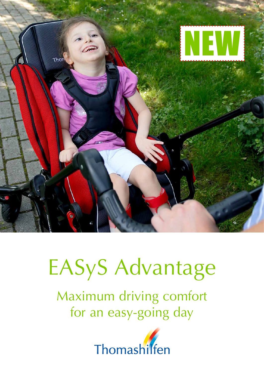

## EASyS Advantage

Maximum driving comfort for an easy-going day

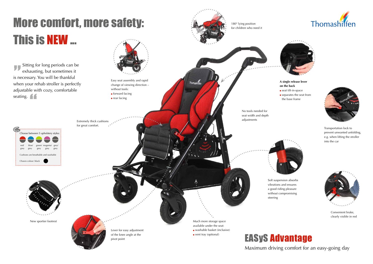





Transportation lock to prevent unwanted unfolding, e.g. when lifting the stroller



Convenient brake, clearly visible in red